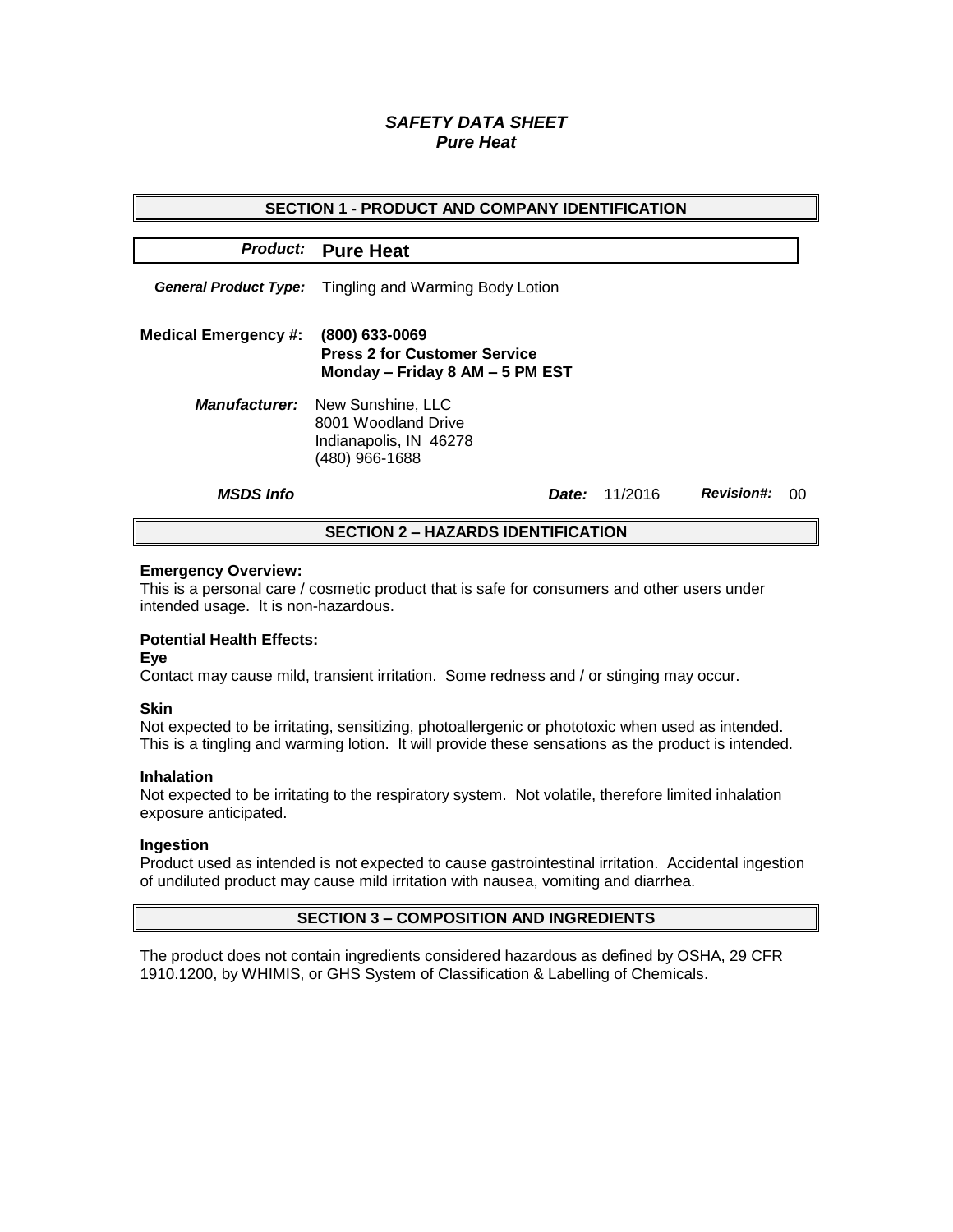# *SAFETY DATA SHEET Pure Heat*

| <b>SECTION 1 - PRODUCT AND COMPANY IDENTIFICATION</b> |                                                                                                           |  |         |                   |    |  |
|-------------------------------------------------------|-----------------------------------------------------------------------------------------------------------|--|---------|-------------------|----|--|
|                                                       | <b>Product:</b> Pure Heat                                                                                 |  |         |                   |    |  |
|                                                       | <b>General Product Type:</b> Tingling and Warming Body Lotion                                             |  |         |                   |    |  |
| <b>Medical Emergency #:</b>                           | (800) 633-0069<br><b>Press 2 for Customer Service</b><br>Monday - Friday 8 AM - 5 PM EST                  |  |         |                   |    |  |
|                                                       | <b>Manufacturer:</b> New Sunshine, LLC<br>8001 Woodland Drive<br>Indianapolis, IN 46278<br>(480) 966-1688 |  |         |                   |    |  |
| <b>MSDS Info</b>                                      | Date:                                                                                                     |  | 11/2016 | <b>Revision#:</b> | 00 |  |
| <b>SECTION 2 - HAZARDS IDENTIFICATION</b>             |                                                                                                           |  |         |                   |    |  |

#### **Emergency Overview:**

This is a personal care / cosmetic product that is safe for consumers and other users under intended usage. It is non-hazardous.

## **Potential Health Effects:**

**Eye**

Contact may cause mild, transient irritation. Some redness and / or stinging may occur.

### **Skin**

Not expected to be irritating, sensitizing, photoallergenic or phototoxic when used as intended. This is a tingling and warming lotion. It will provide these sensations as the product is intended.

#### **Inhalation**

Not expected to be irritating to the respiratory system. Not volatile, therefore limited inhalation exposure anticipated.

### **Ingestion**

Product used as intended is not expected to cause gastrointestinal irritation. Accidental ingestion of undiluted product may cause mild irritation with nausea, vomiting and diarrhea.

## **SECTION 3 – COMPOSITION AND INGREDIENTS**

The product does not contain ingredients considered hazardous as defined by OSHA, 29 CFR 1910.1200, by WHIMIS, or GHS System of Classification & Labelling of Chemicals.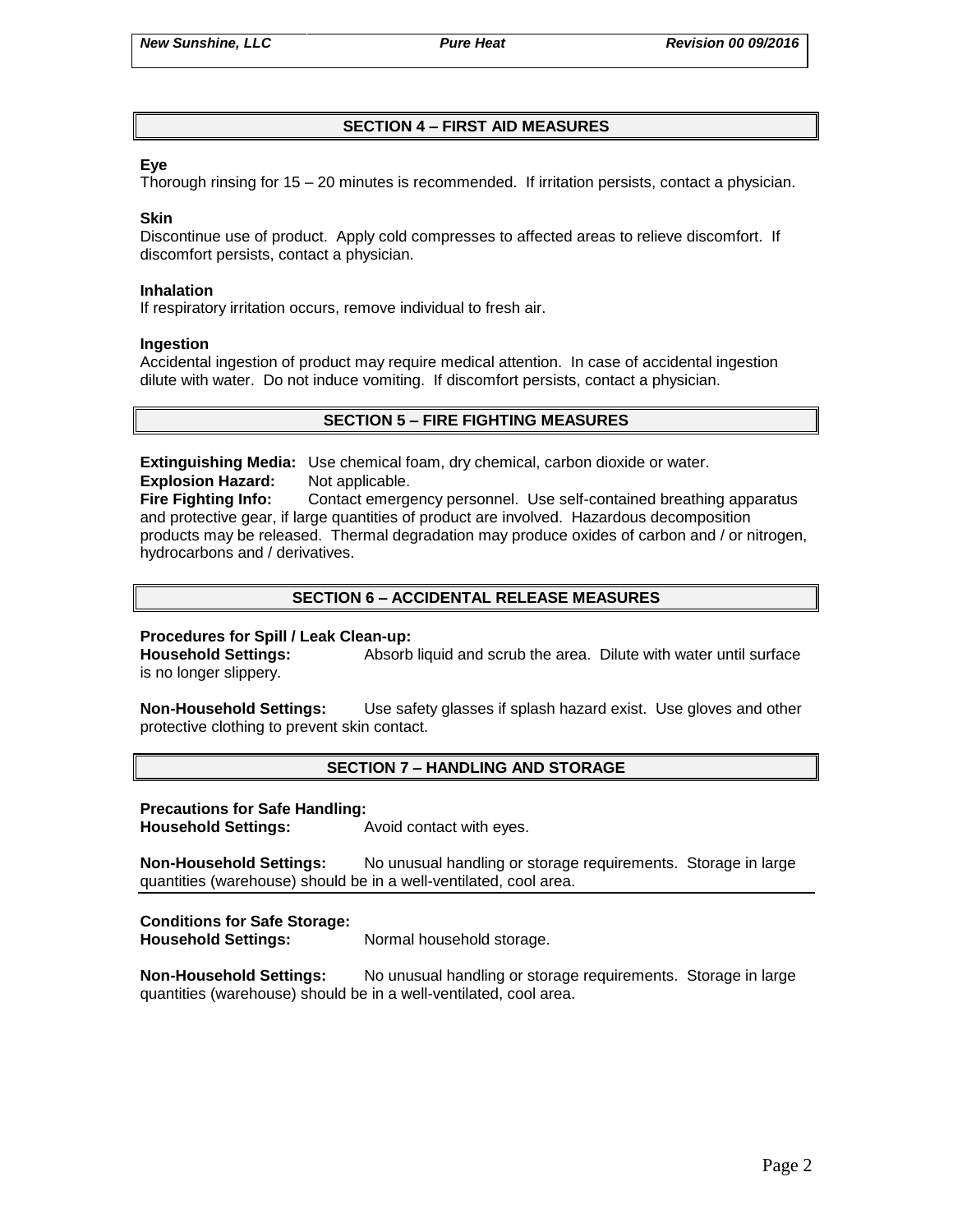# **SECTION 4 – FIRST AID MEASURES**

## **Eye**

Thorough rinsing for 15 – 20 minutes is recommended. If irritation persists, contact a physician.

### **Skin**

Discontinue use of product. Apply cold compresses to affected areas to relieve discomfort. If discomfort persists, contact a physician.

### **Inhalation**

If respiratory irritation occurs, remove individual to fresh air.

### **Ingestion**

Accidental ingestion of product may require medical attention. In case of accidental ingestion dilute with water. Do not induce vomiting. If discomfort persists, contact a physician.

## **SECTION 5 – FIRE FIGHTING MEASURES**

**Extinguishing Media:** Use chemical foam, dry chemical, carbon dioxide or water. **Explosion Hazard:** Not applicable.

**Fire Fighting Info:** Contact emergency personnel. Use self-contained breathing apparatus and protective gear, if large quantities of product are involved. Hazardous decomposition products may be released. Thermal degradation may produce oxides of carbon and / or nitrogen, hydrocarbons and / derivatives.

# **SECTION 6 – ACCIDENTAL RELEASE MEASURES**

### **Procedures for Spill / Leak Clean-up:**

**Household Settings:** Absorb liquid and scrub the area. Dilute with water until surface is no longer slippery.

**Non-Household Settings:** Use safety glasses if splash hazard exist. Use gloves and other protective clothing to prevent skin contact.

### **SECTION 7 – HANDLING AND STORAGE**

### **Precautions for Safe Handling:**

**Household Settings:** Avoid contact with eyes.

**Non-Household Settings:** No unusual handling or storage requirements. Storage in large quantities (warehouse) should be in a well-ventilated, cool area.

# **Conditions for Safe Storage:**

**Household Settings:** Normal household storage.

**Non-Household Settings:** No unusual handling or storage requirements. Storage in large quantities (warehouse) should be in a well-ventilated, cool area.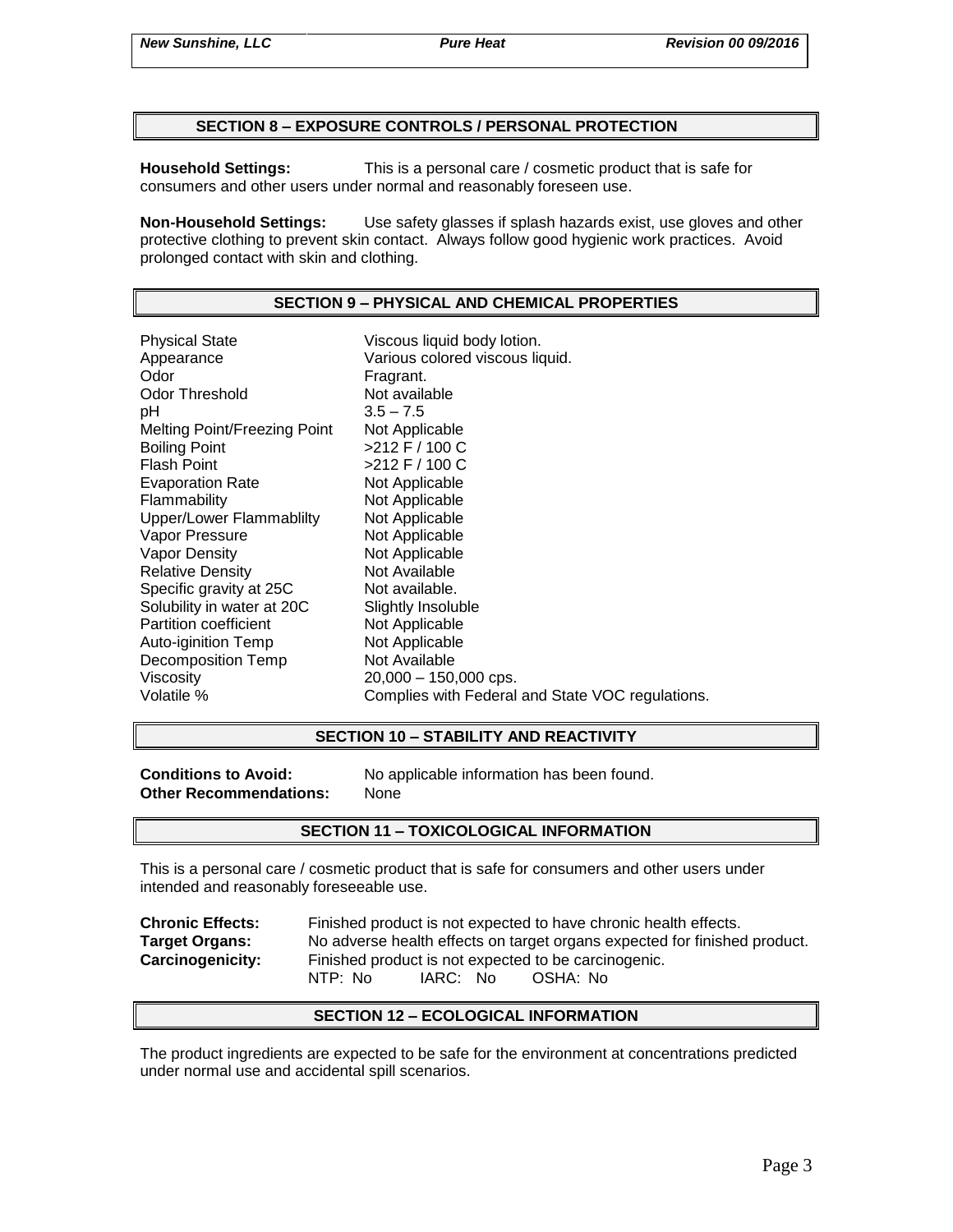## **SECTION 8 – EXPOSURE CONTROLS / PERSONAL PROTECTION**

**Household Settings:** This is a personal care / cosmetic product that is safe for consumers and other users under normal and reasonably foreseen use.

**Non-Household Settings:** Use safety glasses if splash hazards exist, use gloves and other protective clothing to prevent skin contact. Always follow good hygienic work practices. Avoid prolonged contact with skin and clothing.

### **SECTION 9 – PHYSICAL AND CHEMICAL PROPERTIES**

Physical State Viscous liquid body lotion. Appearance **Various colored viscous liquid.**<br>
Odor Communication Colore Fragrant. Odor Threshold Not available pH 3.5 – 7.5 Melting Point/Freezing Point Not Applicable Boiling Point >212 F / 100 C Flash Point  $>212$  F / 100 C Evaporation Rate Not Applicable Flammability Not Applicable Upper/Lower Flammablilty Not Applicable Vapor Pressure Not Applicable Vapor Density Not Applicable Relative Density Not Available Specific gravity at 25C Not available. Solubility in water at 20C Slightly Insoluble<br>
Partition coefficient
Subsetted Not Applicable Partition coefficient Auto-iginition Temp Not Applicable Decomposition Temp Not Available Viscosity 20,000 – 150,000 cps. Volatile % Complies with Federal and State VOC regulations.

### **SECTION 10 – STABILITY AND REACTIVITY**

**Other Recommendations:** None

**Conditions to Avoid:** No applicable information has been found.

### **SECTION 11 – TOXICOLOGICAL INFORMATION**

This is a personal care / cosmetic product that is safe for consumers and other users under intended and reasonably foreseeable use.

**Chronic Effects:** Finished product is not expected to have chronic health effects. **Target Organs:** No adverse health effects on target organs expected for finished product. **Carcinogenicity:** Finished product is not expected to be carcinogenic. NTP: No IARC: No OSHA: No

### **SECTION 12 – ECOLOGICAL INFORMATION**

The product ingredients are expected to be safe for the environment at concentrations predicted under normal use and accidental spill scenarios.